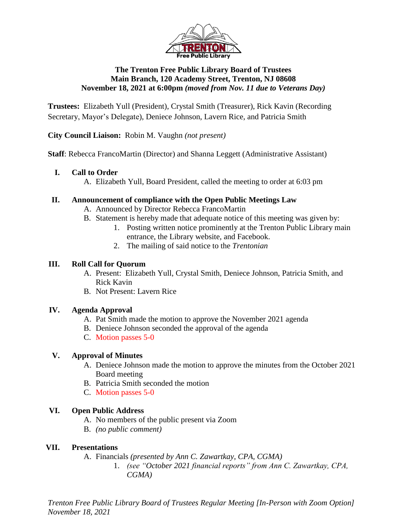

### **The Trenton Free Public Library Board of Trustees Main Branch, 120 Academy Street, Trenton, NJ 08608 November 18, 2021 at 6:00pm** *(moved from Nov. 11 due to Veterans Day)*

**Trustees:** Elizabeth Yull (President), Crystal Smith (Treasurer), Rick Kavin (Recording Secretary, Mayor's Delegate), Deniece Johnson, Lavern Rice, and Patricia Smith

**City Council Liaison:** Robin M. Vaughn *(not present)*

**Staff**: Rebecca FrancoMartin (Director) and Shanna Leggett (Administrative Assistant)

### **I. Call to Order**

A. Elizabeth Yull, Board President, called the meeting to order at 6:03 pm

### **II. Announcement of compliance with the Open Public Meetings Law**

- A. Announced by Director Rebecca FrancoMartin
- B. Statement is hereby made that adequate notice of this meeting was given by:
	- 1. Posting written notice prominently at the Trenton Public Library main entrance, the Library website, and Facebook.
	- 2. The mailing of said notice to the *Trentonian*

### **III. Roll Call for Quorum**

- A. Present: Elizabeth Yull, Crystal Smith, Deniece Johnson, Patricia Smith, and Rick Kavin
- B. Not Present: Lavern Rice

## **IV. Agenda Approval**

- A. Pat Smith made the motion to approve the November 2021 agenda
- B. Deniece Johnson seconded the approval of the agenda
- C. Motion passes 5-0

### **V. Approval of Minutes**

- A. Deniece Johnson made the motion to approve the minutes from the October 2021 Board meeting
- B. Patricia Smith seconded the motion
- C. Motion passes 5-0

## **VI. Open Public Address**

- A. No members of the public present via Zoom
- B. *(no public comment)*

## **VII. Presentations**

- A. Financials *(presented by Ann C. Zawartkay, CPA, CGMA)*
	- 1. *(see "October 2021 financial reports" from Ann C. Zawartkay, CPA, CGMA)*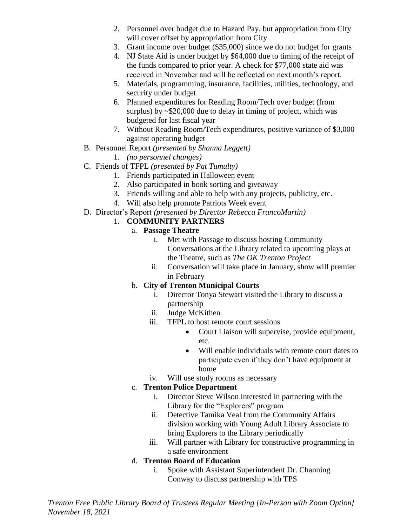- 2. Personnel over budget due to Hazard Pay, but appropriation from City will cover offset by appropriation from City
- 3. Grant income over budget (\$35,000) since we do not budget for grants
- 4. NJ State Aid is under budget by \$64,000 due to timing of the receipt of the funds compared to prior year. A check for \$77,000 state aid was received in November and will be reflected on next month's report.
- 5. Materials, programming, insurance, facilities, utilities, technology, and security under budget
- 6. Planned expenditures for Reading Room/Tech over budget (from surplus) by ~\$20,000 due to delay in timing of project, which was budgeted for last fiscal year
- 7. Without Reading Room/Tech expenditures, positive variance of \$3,000 against operating budget
- B. Personnel Report *(presented by Shanna Leggett)*
	- 1. *(no personnel changes)*
- C. Friends of TFPL *(presented by Pat Tumulty)*
	- 1. Friends participated in Halloween event
	- 2. Also participated in book sorting and giveaway
	- 3. Friends willing and able to help with any projects, publicity, etc.
	- 4. Will also help promote Patriots Week event
- D. Director's Report *(presented by Director Rebecca FrancoMartin)*

## 1. **COMMUNITY PARTNERS**

- a. **Passage Theatre**
	- i. Met with Passage to discuss hosting Community Conversations at the Library related to upcoming plays at the Theatre, such as *The OK Trenton Project*
	- ii. Conversation will take place in January, show will premier in February

## b. **City of Trenton Municipal Courts**

- i. Director Tonya Stewart visited the Library to discuss a partnership
- ii. Judge McKithen
- iii. TFPL to host remote court sessions
	- Court Liaison will supervise, provide equipment, etc.
	- Will enable individuals with remote court dates to participate even if they don't have equipment at home
- iv. Will use study rooms as necessary

## c. **Trenton Police Department**

- i. Director Steve Wilson interested in partnering with the Library for the "Explorers" program
- ii. Detective Tamika Veal from the Community Affairs division working with Young Adult Library Associate to bring Explorers to the Library periodically
- iii. Will partner with Library for constructive programming in a safe environment

## d. **Trenton Board of Education**

i. Spoke with Assistant Superintendent Dr. Channing Conway to discuss partnership with TPS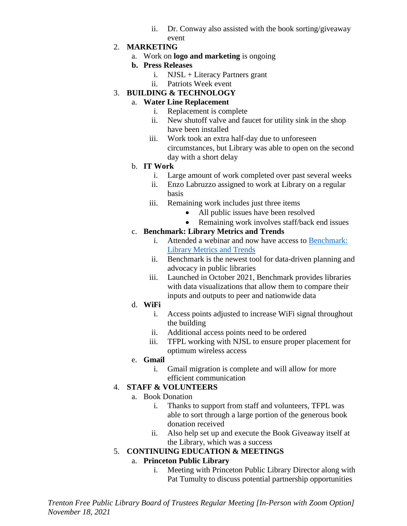- ii. Dr. Conway also assisted with the book sorting/giveaway event
- 2. **MARKETING**
	- a. Work on **logo and marketing** is ongoing
	- **b. Press Releases**
		- i. NJSL + Literacy Partners grant
		- ii. Patriots Week event
- 3. **BUILDING & TECHNOLOGY**

### a. **Water Line Replacement**

- i. Replacement is complete
- ii. New shutoff valve and faucet for utility sink in the shop have been installed
- iii. Work took an extra half-day due to unforeseen circumstances, but Library was able to open on the second day with a short delay

### b. **IT Work**

- i. Large amount of work completed over past several weeks
- ii. Enzo Labruzzo assigned to work at Library on a regular basis
- iii. Remaining work includes just three items
	- All public issues have been resolved
	- Remaining work involves staff/back end issues

## c. **Benchmark: Library Metrics and Trends**

- i. Attended a webinar and now have access to [Benchmark:](https://librarybenchmark.org/Account/Login?ReturnUrl=%2F)  [Library Metrics and Trends](https://librarybenchmark.org/Account/Login?ReturnUrl=%2F)
- ii. Benchmark is the newest tool for data-driven planning and advocacy in public libraries
- iii. Launched in October 2021, Benchmark provides libraries with data visualizations that allow them to compare their inputs and outputs to peer and nationwide data
- d. **WiFi**
	- i. Access points adjusted to increase WiFi signal throughout the building
	- ii. Additional access points need to be ordered
	- iii. TFPL working with NJSL to ensure proper placement for optimum wireless access

## e. **Gmail**

i. Gmail migration is complete and will allow for more efficient communication

## 4. **STAFF & VOLUNTEERS**

- a. Book Donation
	- i. Thanks to support from staff and volunteers, TFPL was able to sort through a large portion of the generous book donation received
	- ii. Also help set up and execute the Book Giveaway itself at the Library, which was a success

## 5. **CONTINUING EDUCATION & MEETINGS**

## a. **Princeton Public Library**

i. Meeting with Princeton Public Library Director along with Pat Tumulty to discuss potential partnership opportunities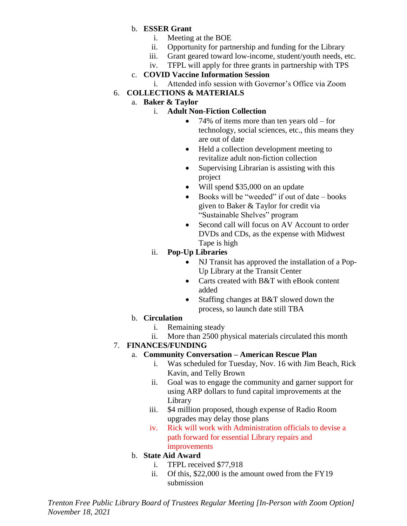### b. **ESSER Grant**

- i. Meeting at the BOE
- ii. Opportunity for partnership and funding for the Library
- iii. Grant geared toward low-income, student/youth needs, etc.
- iv. TFPL will apply for three grants in partnership with TPS

## c. **COVID Vaccine Information Session**

i. Attended info session with Governor's Office via Zoom

# 6. **COLLECTIONS & MATERIALS**

a. **Baker & Taylor**

## i. **Adult Non-Fiction Collection**

- 74% of items more than ten years old for technology, social sciences, etc., this means they are out of date
- Held a collection development meeting to revitalize adult non-fiction collection
- Supervising Librarian is assisting with this project
- Will spend \$35,000 on an update
- Books will be "weeded" if out of date books given to Baker & Taylor for credit via "Sustainable Shelves" program
- Second call will focus on AV Account to order DVDs and CDs, as the expense with Midwest Tape is high

# ii. **Pop-Up Libraries**

- NJ Transit has approved the installation of a Pop-Up Library at the Transit Center
- Carts created with B&T with eBook content added
- Staffing changes at B&T slowed down the process, so launch date still TBA

# b. **Circulation**

- i. Remaining steady
- ii. More than 2500 physical materials circulated this month

# 7. **FINANCES/FUNDING**

## a. **Community Conversation – American Rescue Plan**

- i. Was scheduled for Tuesday, Nov. 16 with Jim Beach, Rick Kavin, and Telly Brown
- ii. Goal was to engage the community and garner support for using ARP dollars to fund capital improvements at the Library
- iii. \$4 million proposed, though expense of Radio Room upgrades may delay those plans
- iv. Rick will work with Administration officials to devise a path forward for essential Library repairs and improvements

# b. **State Aid Award**

- i. TFPL received \$77,918
- ii. Of this, \$22,000 is the amount owed from the FY19 submission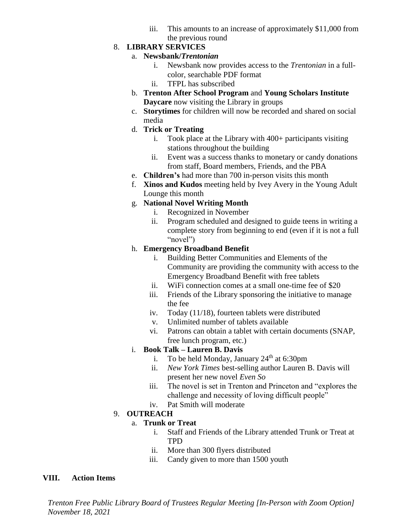iii. This amounts to an increase of approximately \$11,000 from the previous round

### 8. **LIBRARY SERVICES**

#### a. **Newsbank/***Trentonian*

- i. Newsbank now provides access to the *Trentonian* in a fullcolor, searchable PDF format
- ii. TFPL has subscribed
- b. **Trenton After School Program** and **Young Scholars Institute Daycare** now visiting the Library in groups
- c. **Storytimes** for children will now be recorded and shared on social media
- d. **Trick or Treating**
	- i. Took place at the Library with 400+ participants visiting stations throughout the building
	- ii. Event was a success thanks to monetary or candy donations from staff, Board members, Friends, and the PBA
- e. **Children's** had more than 700 in-person visits this month
- f. **Xinos and Kudos** meeting held by Ivey Avery in the Young Adult Lounge this month

### g. **National Novel Writing Month**

- i. Recognized in November
- ii. Program scheduled and designed to guide teens in writing a complete story from beginning to end (even if it is not a full "novel")

### h. **Emergency Broadband Benefit**

- i. Building Better Communities and Elements of the Community are providing the community with access to the Emergency Broadband Benefit with free tablets
- ii. WiFi connection comes at a small one-time fee of \$20
- iii. Friends of the Library sponsoring the initiative to manage the fee
- iv. Today (11/18), fourteen tablets were distributed
- v. Unlimited number of tablets available
- vi. Patrons can obtain a tablet with certain documents (SNAP, free lunch program, etc.)

## i. **Book Talk – Lauren B. Davis**

- i. To be held Monday, January  $24<sup>th</sup>$  at 6:30pm
- ii. *New York Times* best-selling author Lauren B. Davis will present her new novel *Even So*
- iii. The novel is set in Trenton and Princeton and "explores the challenge and necessity of loving difficult people"
- iv. Pat Smith will moderate

## 9. **OUTREACH**

## a. **Trunk or Treat**

- i. Staff and Friends of the Library attended Trunk or Treat at TPD
- ii. More than 300 flyers distributed
- iii. Candy given to more than 1500 youth

### **VIII. Action Items**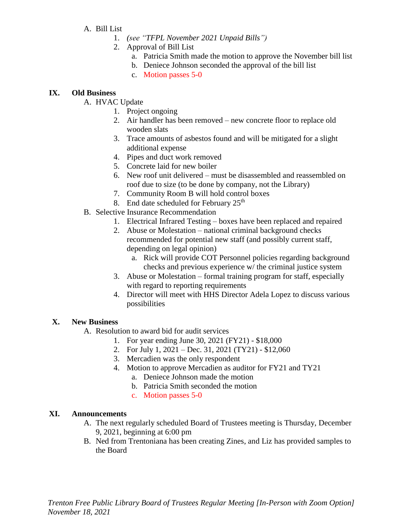- A. Bill List
	- 1. *(see "TFPL November 2021 Unpaid Bills")*
	- 2. Approval of Bill List
		- a. Patricia Smith made the motion to approve the November bill list
		- b. Deniece Johnson seconded the approval of the bill list
		- c. Motion passes 5-0

#### **IX. Old Business**

- A. HVAC Update
	- 1. Project ongoing
	- 2. Air handler has been removed new concrete floor to replace old wooden slats
	- 3. Trace amounts of asbestos found and will be mitigated for a slight additional expense
	- 4. Pipes and duct work removed
	- 5. Concrete laid for new boiler
	- 6. New roof unit delivered must be disassembled and reassembled on roof due to size (to be done by company, not the Library)
	- 7. Community Room B will hold control boxes
	- 8. End date scheduled for February  $25<sup>th</sup>$
- B. Selective Insurance Recommendation
	- 1. Electrical Infrared Testing boxes have been replaced and repaired
	- 2. Abuse or Molestation national criminal background checks recommended for potential new staff (and possibly current staff, depending on legal opinion)
		- a. Rick will provide COT Personnel policies regarding background checks and previous experience w/ the criminal justice system
	- 3. Abuse or Molestation formal training program for staff, especially with regard to reporting requirements
	- 4. Director will meet with HHS Director Adela Lopez to discuss various possibilities

#### **X. New Business**

- A. Resolution to award bid for audit services
	- 1. For year ending June 30, 2021 (FY21) \$18,000
	- 2. For July 1, 2021 Dec. 31, 2021 (TY21) \$12,060
	- 3. Mercadien was the only respondent
	- 4. Motion to approve Mercadien as auditor for FY21 and TY21
		- a. Deniece Johnson made the motion
		- b. Patricia Smith seconded the motion
		- c. Motion passes 5-0

#### **XI. Announcements**

- A. The next regularly scheduled Board of Trustees meeting is Thursday, December 9, 2021, beginning at 6:00 pm
- B. Ned from Trentoniana has been creating Zines, and Liz has provided samples to the Board